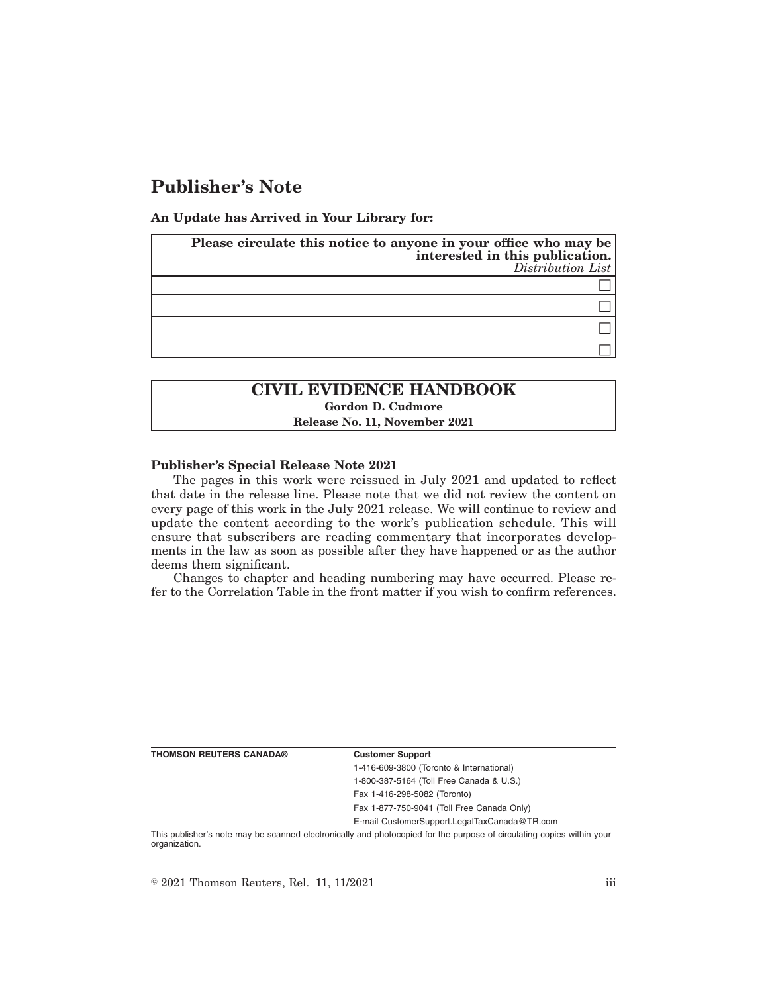# **Publisher's Note**

**An Update has Arrived in Your Library for:**

| Please circulate this notice to anyone in your office who may be<br>interested in this publication.<br>Distribution List |
|--------------------------------------------------------------------------------------------------------------------------|
|                                                                                                                          |
|                                                                                                                          |
|                                                                                                                          |
|                                                                                                                          |

## **CIVIL EVIDENCE HANDBOOK Gordon D. Cudmore Release No. 11, November 2021**

### **Publisher's Special Release Note 2021**

The pages in this work were reissued in July 2021 and updated to reflect that date in the release line. Please note that we did not review the content on every page of this work in the July 2021 release. We will continue to review and update the content according to the work's publication schedule. This will ensure that subscribers are reading commentary that incorporates developments in the law as soon as possible after they have happened or as the author deems them significant.

Changes to chapter and heading numbering may have occurred. Please refer to the Correlation Table in the front matter if you wish to confirm references.

**THOMSON REUTERS CANADA® Customer Support**

1-416-609-3800 (Toronto & International) 1-800-387-5164 (Toll Free Canada & U.S.) Fax 1-416-298-5082 (Toronto)

Fax 1-877-750-9041 (Toll Free Canada Only)

E-mail CustomerSupport.LegalTaxCanada@TR.com

This publisher's note may be scanned electronically and photocopied for the purpose of circulating copies within your organization.

 $\degree$  2021 Thomson Reuters, Rel. 11, 11/2021 iii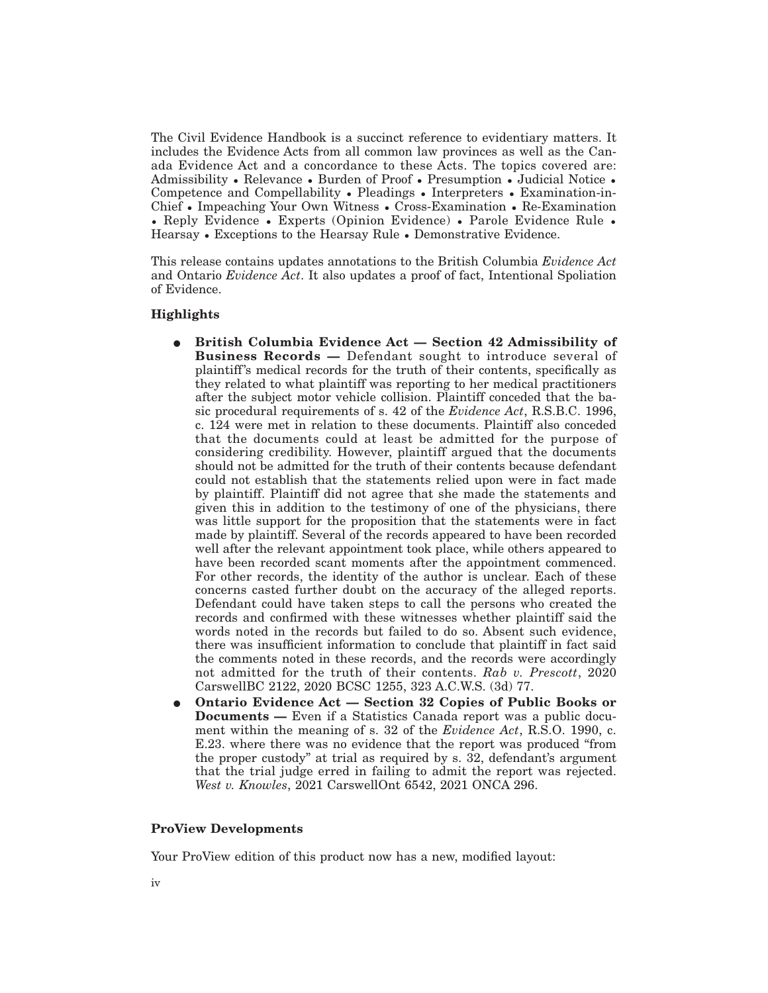The Civil Evidence Handbook is a succinct reference to evidentiary matters. It includes the Evidence Acts from all common law provinces as well as the Canada Evidence Act and a concordance to these Acts. The topics covered are: Admissibility • Relevance • Burden of Proof • Presumption • Judicial Notice • Competence and Compellability • Pleadings • Interpreters • Examination-in-Chief • Impeaching Your Own Witness • Cross-Examination • Re-Examination • Reply Evidence • Experts (Opinion Evidence) • Parole Evidence Rule • Hearsay • Exceptions to the Hearsay Rule • Demonstrative Evidence.

This release contains updates annotations to the British Columbia *Evidence Act* and Ontario *Evidence Act*. It also updates a proof of fact, Intentional Spoliation of Evidence.

### **Highlights**

- E **British Columbia Evidence Act Section 42 Admissibility of Business Records —** Defendant sought to introduce several of plaintiff 's medical records for the truth of their contents, specifically as they related to what plaintiff was reporting to her medical practitioners after the subject motor vehicle collision. Plaintiff conceded that the basic procedural requirements of s. 42 of the *Evidence Act*, R.S.B.C. 1996, c. 124 were met in relation to these documents. Plaintiff also conceded that the documents could at least be admitted for the purpose of considering credibility. However, plaintiff argued that the documents should not be admitted for the truth of their contents because defendant could not establish that the statements relied upon were in fact made by plaintiff. Plaintiff did not agree that she made the statements and given this in addition to the testimony of one of the physicians, there was little support for the proposition that the statements were in fact made by plaintiff. Several of the records appeared to have been recorded well after the relevant appointment took place, while others appeared to have been recorded scant moments after the appointment commenced. For other records, the identity of the author is unclear. Each of these concerns casted further doubt on the accuracy of the alleged reports. Defendant could have taken steps to call the persons who created the records and confirmed with these witnesses whether plaintiff said the words noted in the records but failed to do so. Absent such evidence, there was insufficient information to conclude that plaintiff in fact said the comments noted in these records, and the records were accordingly not admitted for the truth of their contents. *Rab v. Prescott*, 2020 CarswellBC 2122, 2020 BCSC 1255, 323 A.C.W.S. (3d) 77.
- E **Ontario Evidence Act Section 32 Copies of Public Books or Documents —** Even if a Statistics Canada report was a public document within the meaning of s. 32 of the *Evidence Act*, R.S.O. 1990, c. E.23. where there was no evidence that the report was produced "from the proper custody" at trial as required by s. 32, defendant's argument that the trial judge erred in failing to admit the report was rejected. *West v. Knowles*, 2021 CarswellOnt 6542, 2021 ONCA 296.

### **ProView Developments**

Your ProView edition of this product now has a new, modified layout: